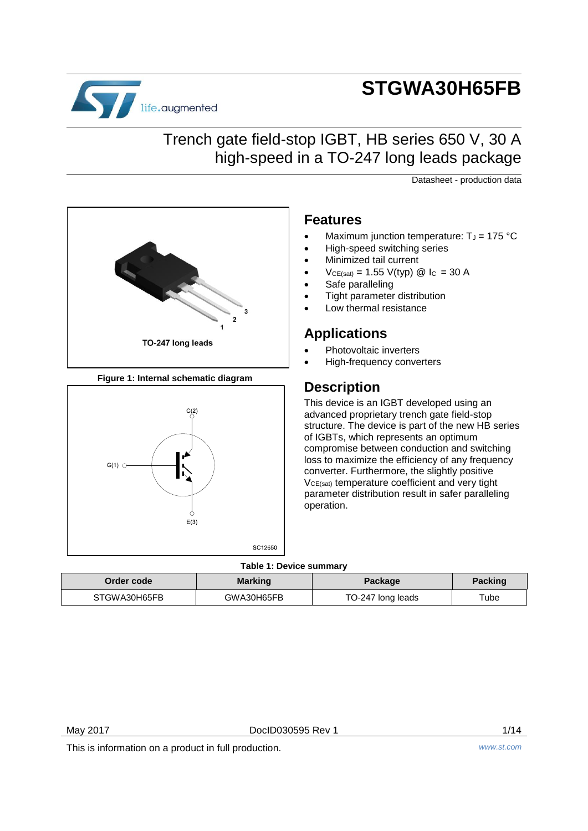# **STGWA30H65FB**



## Trench gate field-stop IGBT, HB series 650 V, 30 A high-speed in a TO-247 long leads package

Datasheet - production data



**Figure 1: Internal schematic diagram**



## **Features**

- Maximum junction temperature:  $T_J = 175 \text{ °C}$
- High-speed switching series
- Minimized tail current
- $V_{CE(sat)} = 1.55 V(typ)$  @ I<sub>C</sub> = 30 A
- Safe paralleling
- Tight parameter distribution
- Low thermal resistance

## **Applications**

- Photovoltaic inverters
- High-frequency converters

## **Description**

This device is an IGBT developed using an advanced proprietary trench gate field-stop structure. The device is part of the new HB series of IGBTs, which represents an optimum compromise between conduction and switching loss to maximize the efficiency of any frequency converter. Furthermore, the slightly positive V<sub>CE(sat)</sub> temperature coefficient and very tight parameter distribution result in safer paralleling operation.

### **Table 1: Device summary**

| Order code   | <b>Marking</b> | Package           | <b>Packing</b> |
|--------------|----------------|-------------------|----------------|
| STGWA30H65FB | GWA30H65FB     | TO-247 long leads | $\tau$ ube     |

May 2017 **DoclD030595 Rev 1** 2017 **DociD030595 Rev 1** 

This is information on a product in full production. *www.st.com*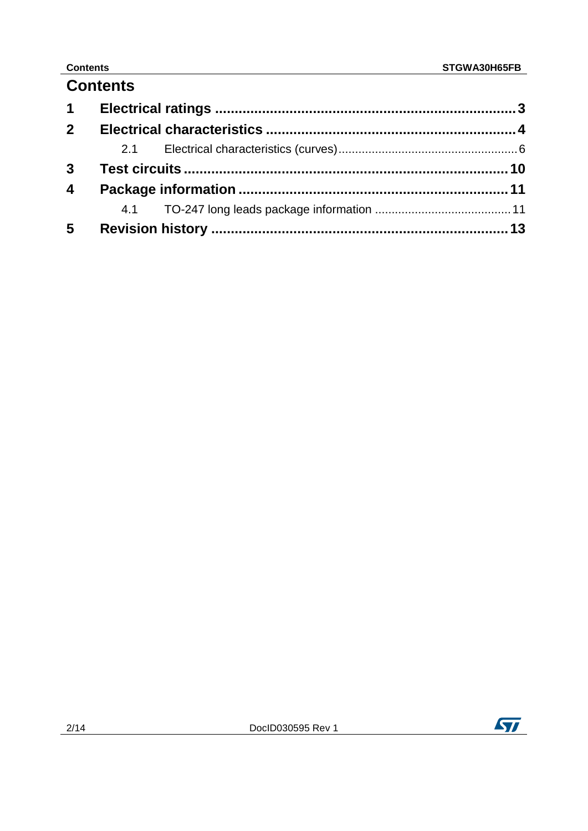| <b>Contents</b> |  |
|-----------------|--|
|-----------------|--|

| $1 \quad$               |  |  |
|-------------------------|--|--|
| $2^{\circ}$             |  |  |
|                         |  |  |
| $\mathbf{3}$            |  |  |
| $\overline{\mathbf{4}}$ |  |  |
|                         |  |  |
| $5\overline{)}$         |  |  |

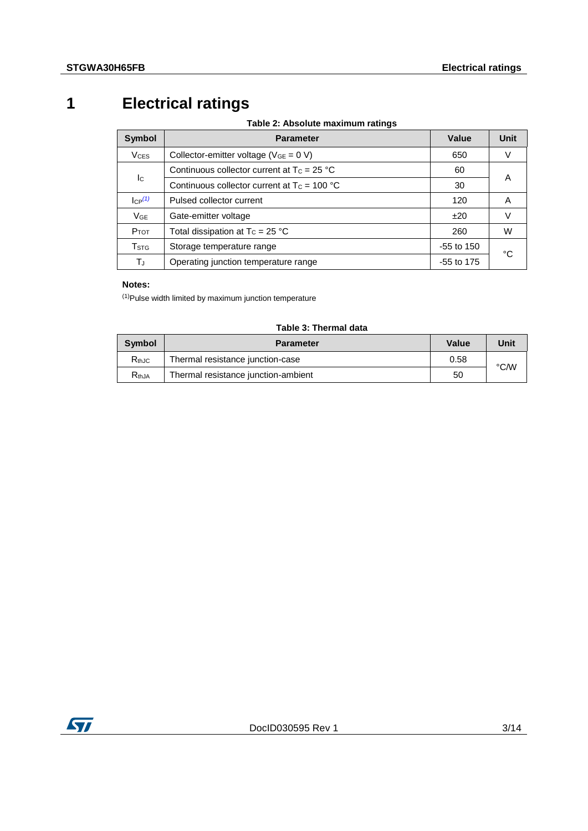## **1 Electrical ratings**

**Table 2: Absolute maximum ratings**

<span id="page-2-0"></span>

| Symbol                    | <b>Parameter</b>                               | Value              | Unit |  |
|---------------------------|------------------------------------------------|--------------------|------|--|
| <b>V<sub>CES</sub></b>    | Collector-emitter voltage ( $V_{GE} = 0 V$ )   | 650                |      |  |
|                           | Continuous collector current at $T_c = 25 °C$  | 60                 |      |  |
| Ic                        | Continuous collector current at $T_c = 100 °C$ | 30                 | A    |  |
| $ CP^{(1)} $              | Pulsed collector current                       | 120                | A    |  |
| $V_{GE}$                  | Gate-emitter voltage                           | ±20                | V    |  |
| $P_{TOT}$                 | Total dissipation at $T_c = 25$ °C             | 260                | W    |  |
| $\mathsf{T}_{\text{STG}}$ | Storage temperature range<br>$-55$ to 150      |                    |      |  |
| TJ                        | Operating junction temperature range           | °C<br>$-55$ to 175 |      |  |

### **Notes:**

<span id="page-2-1"></span>(1)Pulse width limited by maximum junction temperature

| Symbol            | Value<br><b>Parameter</b>           |      |      |
|-------------------|-------------------------------------|------|------|
| $R_{th,IC}$       | Thermal resistance junction-case    | 0.58 | °C/W |
| R <sub>thJA</sub> | Thermal resistance junction-ambient | 50   |      |

## **Table 3: Thermal data**

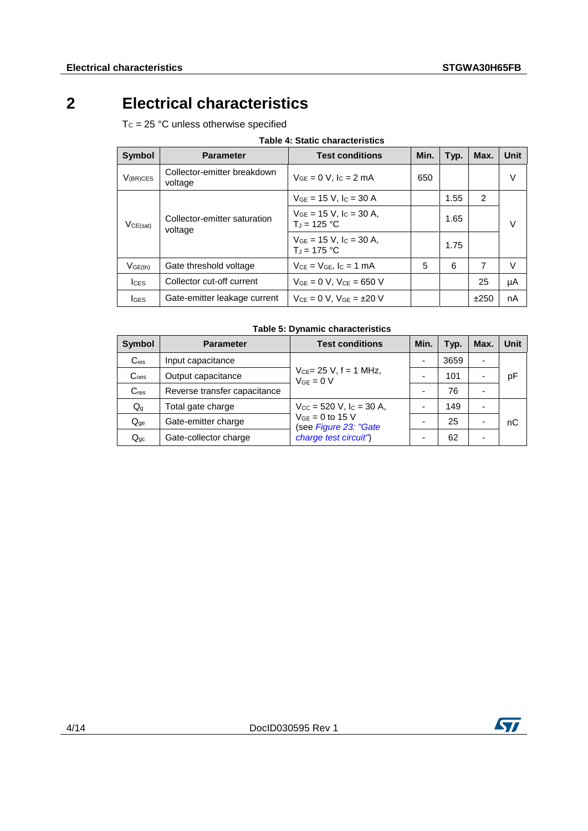## **2 Electrical characteristics**

<span id="page-3-0"></span> $T_c = 25 °C$  unless otherwise specified

| Table 4: Static characteristics |                                         |                                                    |      |      |      |        |
|---------------------------------|-----------------------------------------|----------------------------------------------------|------|------|------|--------|
| <b>Symbol</b>                   | <b>Parameter</b>                        | <b>Test conditions</b>                             | Min. | Typ. | Max. | Unit   |
| $V_{(BR)CES}$                   | Collector-emitter breakdown<br>voltage  | $V_{GF} = 0$ V, $I_C = 2$ mA                       | 650  |      |      | $\vee$ |
|                                 |                                         | $V_{GF}$ = 15 V, $I_C$ = 30 A                      |      | 1.55 | 2    |        |
| VCE(sat)                        | Collector-emitter saturation<br>voltage | $V_{GE}$ = 15 V, $I_C$ = 30 A,<br>$T_{d} = 125 °C$ |      | 1.65 |      | $\vee$ |
|                                 |                                         | $V_{GE}$ = 15 V, $I_C$ = 30 A,<br>$T_{d}$ = 175 °C |      | 1.75 |      |        |
| $V$ GE(th)                      | Gate threshold voltage                  | $V_{CE} = V_{GE}$ , $I_C = 1$ mA                   | 5    | 6    | 7    | $\vee$ |
| $l$ <sub>CES</sub>              | Collector cut-off current               | $V_{GE} = 0 V$ , $V_{CE} = 650 V$                  |      |      | 25   | μA     |
| <b>IGES</b>                     | Gate-emitter leakage current            | $V_{CE} = 0 V$ . $V_{GE} = \pm 20 V$               |      |      | ±250 | nA     |

## **Table 4: Static characteristics**

### **Table 5: Dynamic characteristics**

| <b>Symbol</b>             | <b>Parameter</b>                                                  | <b>Test conditions</b>                          | Min. | Typ. | Max.                     | Unit |
|---------------------------|-------------------------------------------------------------------|-------------------------------------------------|------|------|--------------------------|------|
| $C_{\text{ies}}$          | Input capacitance                                                 |                                                 |      | 3659 | $\overline{\phantom{0}}$ |      |
| C <sub>oes</sub>          | $V_{CE} = 25 V$ , f = 1 MHz,<br>Output capacitance<br>$VGE = 0 V$ |                                                 |      | 101  |                          | рF   |
| $C_{res}$                 | Reverse transfer capacitance                                      |                                                 |      | 76   |                          |      |
| $\mathsf{Q}_{\mathsf{g}}$ | Total gate charge                                                 | $V_{\text{CC}} = 520$ V, $I_{\text{C}} = 30$ A, |      | 149  |                          |      |
| $Q_{qe}$                  | Gate-emitter charge                                               | $V_{GE}$ = 0 to 15 V<br>(see Figure 23: "Gate   |      | 25   |                          | nС   |
| $Q_{qc}$                  | Gate-collector charge                                             | charge test circuit")                           |      | 62   |                          |      |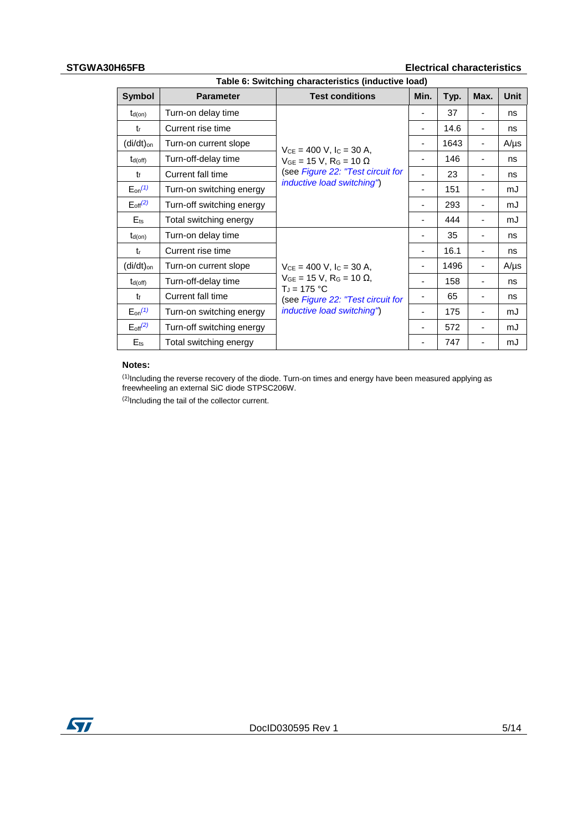### **STGWA30H65FB Electrical characteristics**

|                        | Table 6: Switching characteristics (inductive load) |                                                                                                                                                                           |      |      |                          |             |
|------------------------|-----------------------------------------------------|---------------------------------------------------------------------------------------------------------------------------------------------------------------------------|------|------|--------------------------|-------------|
| Symbol                 | <b>Parameter</b>                                    | <b>Test conditions</b>                                                                                                                                                    | Min. | Typ. | Max.                     | <b>Unit</b> |
| $t_{d(on)}$            | Turn-on delay time                                  |                                                                                                                                                                           |      | 37   |                          | ns          |
| tr                     | Current rise time                                   |                                                                                                                                                                           | ۰    | 14.6 | $\overline{a}$           | ns          |
| (di/dt) <sub>on</sub>  | Turn-on current slope                               | $V_{CE} = 400$ V, $I_C = 30$ A,                                                                                                                                           | ٠    | 1643 | ٠                        | $A/\mu s$   |
| $t_{d(off)}$           | Turn-off-delay time                                 | $V_{GE} = 15 V$ , R <sub>G</sub> = 10 $\Omega$                                                                                                                            | ٠    | 146  | $\overline{a}$           | ns          |
| t                      | Current fall time                                   | (see Figure 22: "Test circuit for                                                                                                                                         |      | 23   |                          | ns          |
| $E_{on}^{(1)}$         | Turn-on switching energy                            | inductive load switching")                                                                                                                                                | ۰    | 151  |                          | mJ          |
| $E_{\text{off}}^{(2)}$ | Turn-off switching energy                           |                                                                                                                                                                           |      | 293  |                          | mJ          |
| $E$ <sub>ts</sub>      | Total switching energy                              |                                                                                                                                                                           |      | 444  |                          | mJ          |
| $t_{d(on)}$            | Turn-on delay time                                  | $V_{CE} = 400$ V, $I_C = 30$ A,<br>$V_{GE}$ = 15 V, R <sub>G</sub> = 10 $\Omega$ ,<br>$T_{d} = 175 °C$<br>(see Figure 22: "Test circuit for<br>inductive load switching") | ۰    | 35   |                          | ns          |
| tr                     | Current rise time                                   |                                                                                                                                                                           | ۰    | 16.1 |                          | ns          |
| $(di/dt)_{on}$         | Turn-on current slope                               |                                                                                                                                                                           |      | 1496 |                          | $A/\mu s$   |
| $t_{d(off)}$           | Turn-off-delay time                                 |                                                                                                                                                                           | ۰    | 158  |                          | ns          |
| t                      | Current fall time                                   |                                                                                                                                                                           | ۰    | 65   | $\overline{a}$           | ns          |
| $E_{on}^{(1)}$         | Turn-on switching energy                            |                                                                                                                                                                           | ۰    | 175  | $\overline{a}$           | mJ          |
| $E_{\text{off}}^{(2)}$ | Turn-off switching energy                           |                                                                                                                                                                           | ۰    | 572  | $\overline{\phantom{0}}$ | mJ          |
| $E_{ts}$               | Total switching energy                              |                                                                                                                                                                           |      | 747  |                          | mJ          |

### **Notes:**

<span id="page-4-0"></span> $<sup>(1)</sup>$ Including the reverse recovery of the diode. Turn-on times and energy have been measured applying as</sup> freewheeling an external SiC diode STPSC206W.

<span id="page-4-1"></span>(2)Including the tail of the collector current.

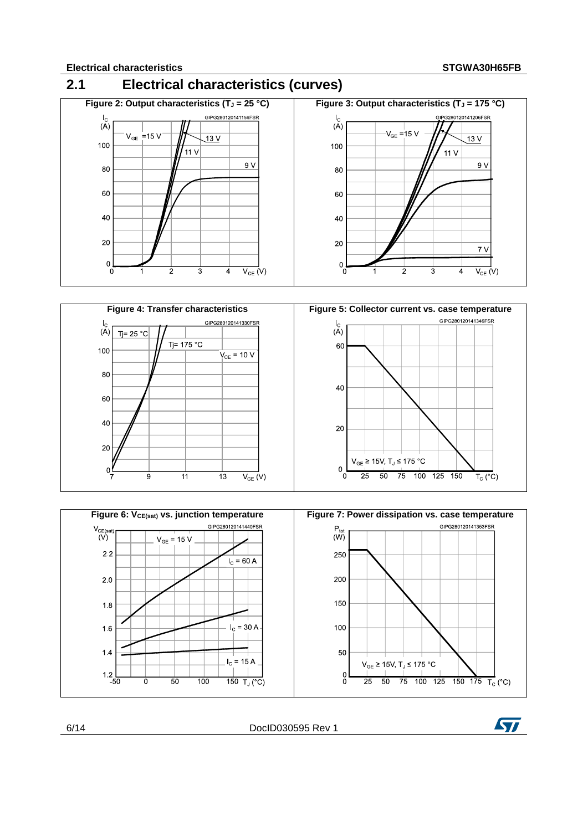## <span id="page-5-0"></span>**2.1 Electrical characteristics (curves)**







6/14 DocID030595 Rev 1

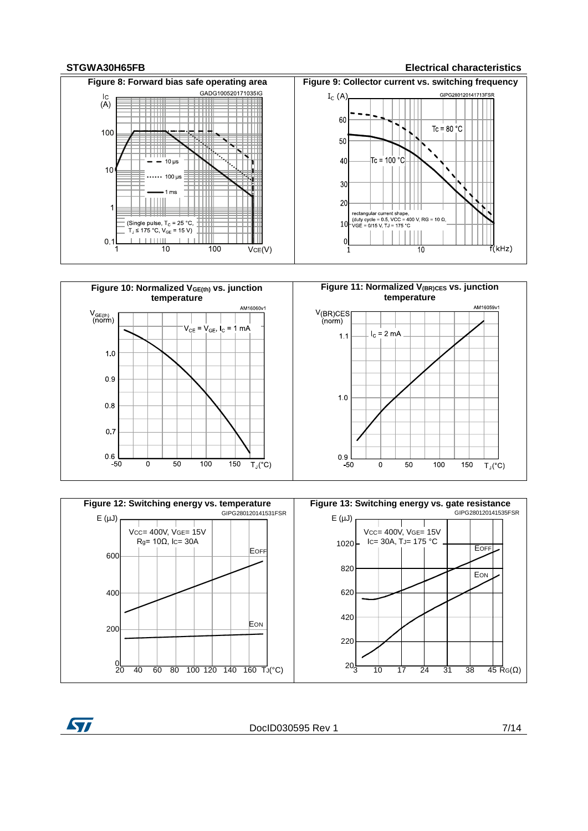**ST** 

### **STGWA30H65FB Electrical characteristics**







DocID030595 Rev 1 7/14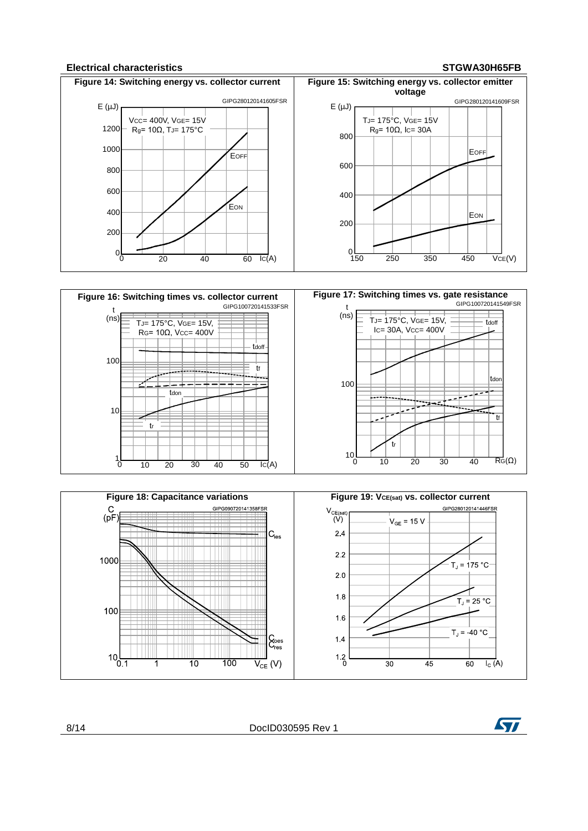### **Electrical characteristics STGWA30H65FB**







8/14 DocID030595 Rev 1

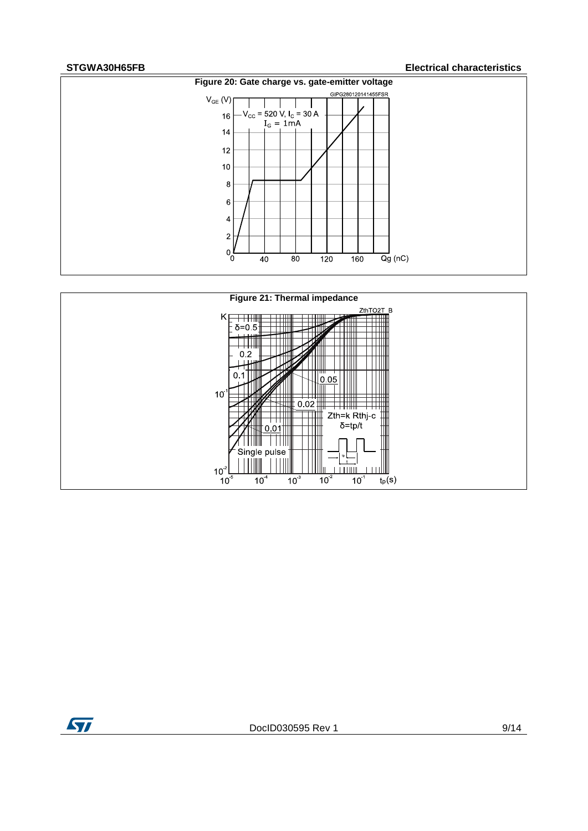### **STGWA30H65FB Electrical characteristics**





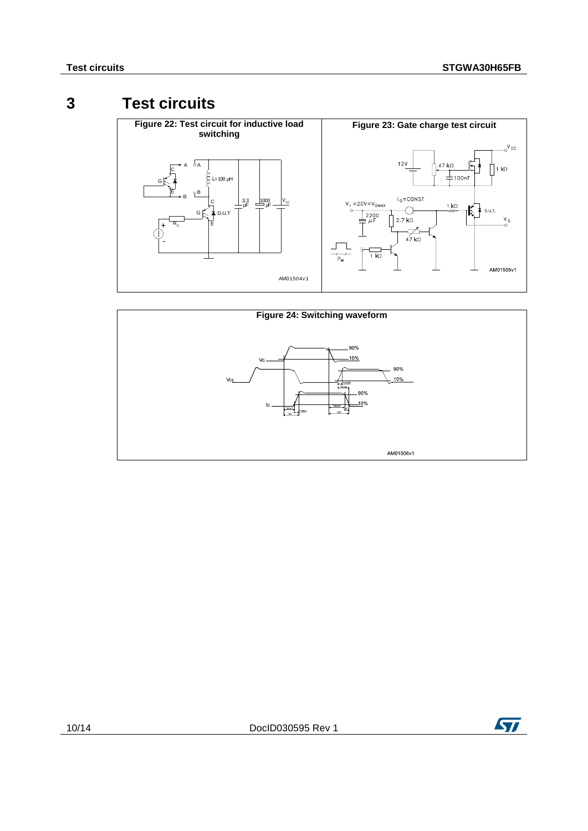## **3 Test circuits**

<span id="page-9-2"></span><span id="page-9-1"></span><span id="page-9-0"></span>



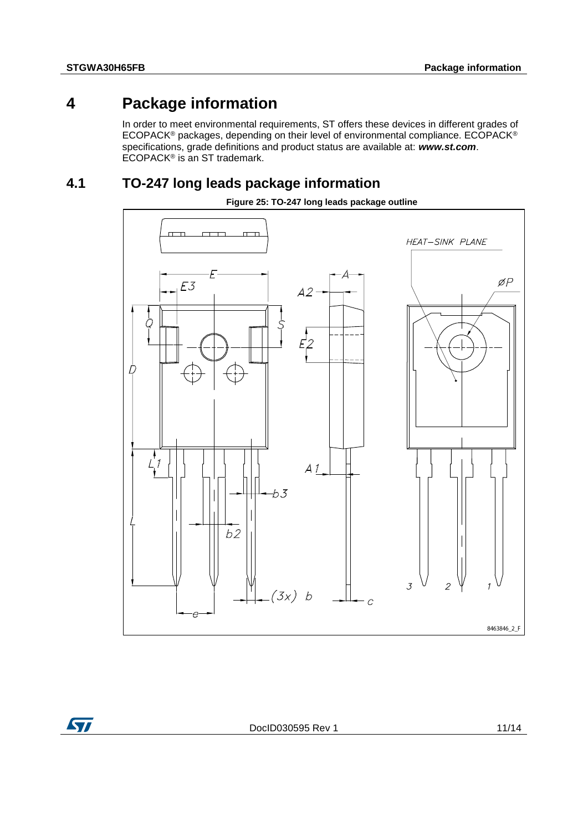## **4 Package information**

<span id="page-10-0"></span>In order to meet environmental requirements, ST offers these devices in different grades of ECOPACK® packages, depending on their level of environmental compliance. ECOPACK® specifications, grade definitions and product status are available at: *www.st.com*. ECOPACK<sup>®</sup> is an ST trademark.

## **4.1 TO-247 long leads package information**

<span id="page-10-1"></span>

### **Figure 25: TO-247 long leads package outline**

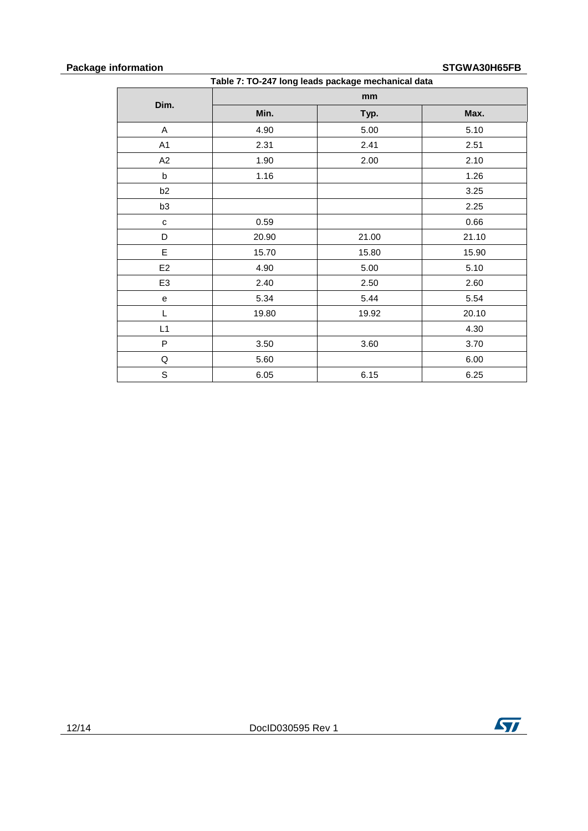## **Package information**<br> **Package information STGWA30H65FB**

| Table 7: TO-247 long leads package mechanical data |       |       |       |
|----------------------------------------------------|-------|-------|-------|
|                                                    |       | mm    |       |
| Dim.                                               | Min.  | Typ.  | Max.  |
| A                                                  | 4.90  | 5.00  | 5.10  |
| A1                                                 | 2.31  | 2.41  | 2.51  |
| A2                                                 | 1.90  | 2.00  | 2.10  |
| $\sf b$                                            | 1.16  |       | 1.26  |
| b2                                                 |       |       | 3.25  |
| b <sub>3</sub>                                     |       |       | 2.25  |
| $\mathbf{C}$                                       | 0.59  |       | 0.66  |
| D                                                  | 20.90 | 21.00 | 21.10 |
| E                                                  | 15.70 | 15.80 | 15.90 |
| E2                                                 | 4.90  | 5.00  | 5.10  |
| E <sub>3</sub>                                     | 2.40  | 2.50  | 2.60  |
| ${\bf e}$                                          | 5.34  | 5.44  | 5.54  |
| L                                                  | 19.80 | 19.92 | 20.10 |
| L1                                                 |       |       | 4.30  |
| P                                                  | 3.50  | 3.60  | 3.70  |
| Q                                                  | 5.60  |       | 6.00  |
| $\mathsf S$                                        | 6.05  | 6.15  | 6.25  |

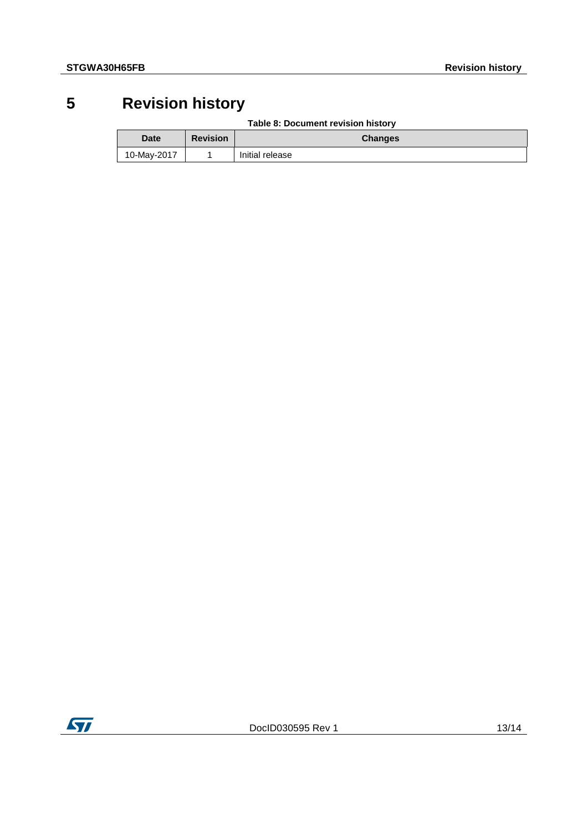## **5 Revision history**

|  | Table 8: Document revision history |  |
|--|------------------------------------|--|
|  |                                    |  |

<span id="page-12-0"></span>

| Date        | <b>Revision</b> | <b>Changes</b>  |
|-------------|-----------------|-----------------|
| 10-May-2017 |                 | Initial release |